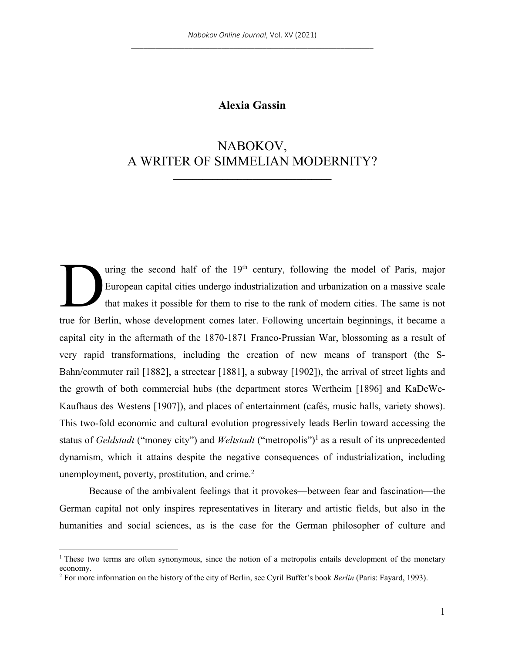# **Alexia Gassin**

# NABOKOV, A WRITER OF SIMMELIAN MODERNITY?

**\_\_\_\_\_\_\_\_\_\_\_\_\_\_\_\_\_\_\_\_\_\_\_\_\_\_\_\_\_\_\_\_**

uring the second half of the  $19<sup>th</sup>$  century, following the model of Paris, major European capital cities undergo industrialization and urbanization on a massive scale that makes it possible for them to rise to the rank of modern cities. The same is not true for Berlin, whose development comes later. Following uncertain beginnings, it became a capital city in the aftermath of the 1870-1871 Franco-Prussian War, blossoming as a result of very rapid transformations, including the creation of new means of transport (the S-Bahn/commuter rail [1882], a streetcar [1881], a subway [1902]), the arrival of street lights and the growth of both commercial hubs (the department stores Wertheim [1896] and KaDeWe-Kaufhaus des Westens [1907]), and places of entertainment (cafés, music halls, variety shows). This two-fold economic and cultural evolution progressively leads Berlin toward accessing the status of *Geldstadt* ("money city") and *Weltstadt* ("metropolis")1 as a result of its unprecedented dynamism, which it attains despite the negative consequences of industrialization, including unemployment, poverty, prostitution, and crime.<sup>2</sup> D

Because of the ambivalent feelings that it provokes—between fear and fascination—the German capital not only inspires representatives in literary and artistic fields, but also in the humanities and social sciences, as is the case for the German philosopher of culture and

 $1$ . These two terms are often synonymous, since the notion of a metropolis entails development of the monetary economy.

<sup>2</sup> For more information on the history of the city of Berlin, see Cyril Buffet's book *Berlin* (Paris: Fayard, 1993).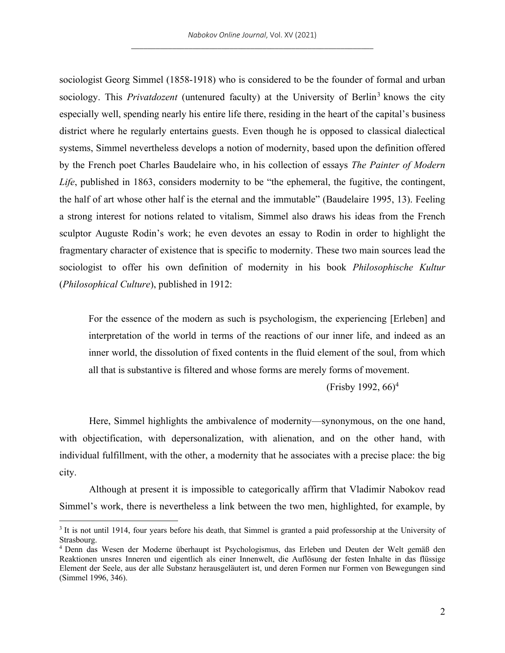sociologist Georg Simmel (1858-1918) who is considered to be the founder of formal and urban sociology. This *Privatdozent* (untenured faculty) at the University of Berlin<sup>3</sup> knows the city especially well, spending nearly his entire life there, residing in the heart of the capital's business district where he regularly entertains guests. Even though he is opposed to classical dialectical systems, Simmel nevertheless develops a notion of modernity, based upon the definition offered by the French poet Charles Baudelaire who, in his collection of essays *The Painter of Modern Life*, published in 1863, considers modernity to be "the ephemeral, the fugitive, the contingent, the half of art whose other half is the eternal and the immutable" (Baudelaire 1995, 13). Feeling a strong interest for notions related to vitalism, Simmel also draws his ideas from the French sculptor Auguste Rodin's work; he even devotes an essay to Rodin in order to highlight the fragmentary character of existence that is specific to modernity. These two main sources lead the sociologist to offer his own definition of modernity in his book *Philosophische Kultur* (*Philosophical Culture*), published in 1912:

For the essence of the modern as such is psychologism, the experiencing [Erleben] and interpretation of the world in terms of the reactions of our inner life, and indeed as an inner world, the dissolution of fixed contents in the fluid element of the soul, from which all that is substantive is filtered and whose forms are merely forms of movement.

(Frisby 1992,  $66$ )<sup>4</sup>

Here, Simmel highlights the ambivalence of modernity—synonymous, on the one hand, with objectification, with depersonalization, with alienation, and on the other hand, with individual fulfillment, with the other, a modernity that he associates with a precise place: the big city.

Although at present it is impossible to categorically affirm that Vladimir Nabokov read Simmel's work, there is nevertheless a link between the two men, highlighted, for example, by

<sup>&</sup>lt;sup>3</sup> It is not until 1914, four years before his death, that Simmel is granted a paid professorship at the University of Strasbourg.

<sup>4</sup> Denn das Wesen der Moderne überhaupt ist Psychologismus, das Erleben und Deuten der Welt gemäß den Reaktionen unsres Inneren und eigentlich als einer Innenwelt, die Auflösung der festen Inhalte in das flüssige Element der Seele, aus der alle Substanz herausgeläutert ist, und deren Formen nur Formen von Bewegungen sind (Simmel 1996, 346).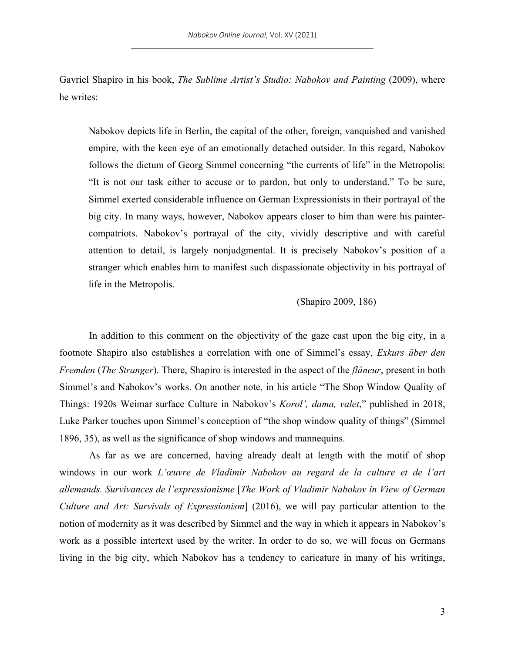Gavriel Shapiro in his book, *The Sublime Artist's Studio: Nabokov and Painting (2009)*, where he writes:

Nabokov depicts life in Berlin, the capital of the other, foreign, vanquished and vanished empire, with the keen eye of an emotionally detached outsider. In this regard, Nabokov follows the dictum of Georg Simmel concerning "the currents of life" in the Metropolis: "It is not our task either to accuse or to pardon, but only to understand." To be sure, Simmel exerted considerable influence on German Expressionists in their portrayal of the big city. In many ways, however, Nabokov appears closer to him than were his paintercompatriots. Nabokov's portrayal of the city, vividly descriptive and with careful attention to detail, is largely nonjudgmental. It is precisely Nabokov's position of a stranger which enables him to manifest such dispassionate objectivity in his portrayal of life in the Metropolis.

## (Shapiro 2009, 186)

In addition to this comment on the objectivity of the gaze cast upon the big city, in a footnote Shapiro also establishes a correlation with one of Simmel's essay, *Exkurs über den Fremden* (*The Stranger*). There, Shapiro is interested in the aspect of the *flâneur*, present in both Simmel's and Nabokov's works. On another note, in his article "The Shop Window Quality of Things: 1920s Weimar surface Culture in Nabokov's *Korol', dama, valet*," published in 2018, Luke Parker touches upon Simmel's conception of "the shop window quality of things" (Simmel 1896, 35), as well as the significance of shop windows and mannequins.

As far as we are concerned, having already dealt at length with the motif of shop windows in our work *L'œuvre de Vladimir Nabokov au regard de la culture et de l'art allemands. Survivances de l'expressionisme* [*The Work of Vladimir Nabokov in View of German Culture and Art: Survivals of Expressionism*] (2016), we will pay particular attention to the notion of modernity as it was described by Simmel and the way in which it appears in Nabokov's work as a possible intertext used by the writer. In order to do so, we will focus on Germans living in the big city, which Nabokov has a tendency to caricature in many of his writings,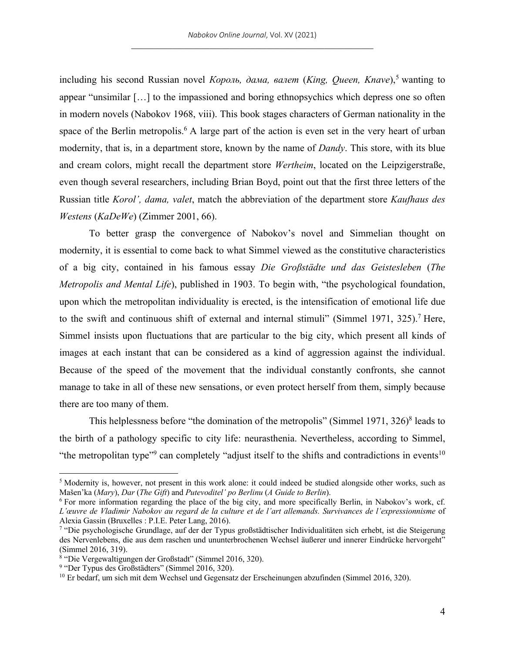including his second Russian novel *Король, дама, валет (King, Queen, Knave*),<sup>5</sup> wanting to appear "unsimilar […] to the impassioned and boring ethnopsychics which depress one so often in modern novels (Nabokov 1968, viii). This book stages characters of German nationality in the space of the Berlin metropolis.<sup>6</sup> A large part of the action is even set in the very heart of urban modernity, that is, in a department store, known by the name of *Dandy*. This store, with its blue and cream colors, might recall the department store *Wertheim*, located on the Leipzigerstraße, even though several researchers, including Brian Boyd, point out that the first three letters of the Russian title *Korol', dama, valet*, match the abbreviation of the department store *Kaufhaus des Westens* (*KaDeWe*) (Zimmer 2001, 66).

To better grasp the convergence of Nabokov's novel and Simmelian thought on modernity, it is essential to come back to what Simmel viewed as the constitutive characteristics of a big city, contained in his famous essay *Die Groβstädte und das Geistesleben* (*The Metropolis and Mental Life*), published in 1903. To begin with, "the psychological foundation, upon which the metropolitan individuality is erected, is the intensification of emotional life due to the swift and continuous shift of external and internal stimuli" (Simmel 1971, 325).<sup>7</sup> Here, Simmel insists upon fluctuations that are particular to the big city, which present all kinds of images at each instant that can be considered as a kind of aggression against the individual. Because of the speed of the movement that the individual constantly confronts, she cannot manage to take in all of these new sensations, or even protect herself from them, simply because there are too many of them.

This helplessness before "the domination of the metropolis" (Simmel 1971, 326)<sup>8</sup> leads to the birth of a pathology specific to city life: neurasthenia. Nevertheless, according to Simmel, "the metropolitan type"<sup>9</sup> can completely "adjust itself to the shifts and contradictions in events<sup>10</sup>

<sup>5</sup> Modernity is, however, not present in this work alone: it could indeed be studied alongside other works, such as Mašen'ka (*Mary*), *Dar* (*The Gift*) and *Putevoditel' po Berlinu* (*A Guide to Berlin*).

<sup>6</sup> For more information regarding the place of the big city, and more specifically Berlin, in Nabokov's work, cf. *L'œuvre de Vladimir Nabokov au regard de la culture et de l'art allemands. Survivances de l'expressionnisme* of Alexia Gassin (Bruxelles : P.I.E. Peter Lang, 2016).

<sup>7</sup> "Die psychologische Grundlage, auf der der Typus großstädtischer Individualitäten sich erhebt, ist die Steigerung des Nervenlebens, die aus dem raschen und ununterbrochenen Wechsel äußerer und innerer Eindrücke hervorgeht" (Simmel 2016, 319).

<sup>&</sup>lt;sup>8</sup> "Die Vergewaltigungen der Großstadt" (Simmel 2016, 320).

<sup>9</sup> "Der Typus des Großstädters" (Simmel 2016, 320).

 $10$  Er bedarf, um sich mit dem Wechsel und Gegensatz der Erscheinungen abzufinden (Simmel 2016, 320).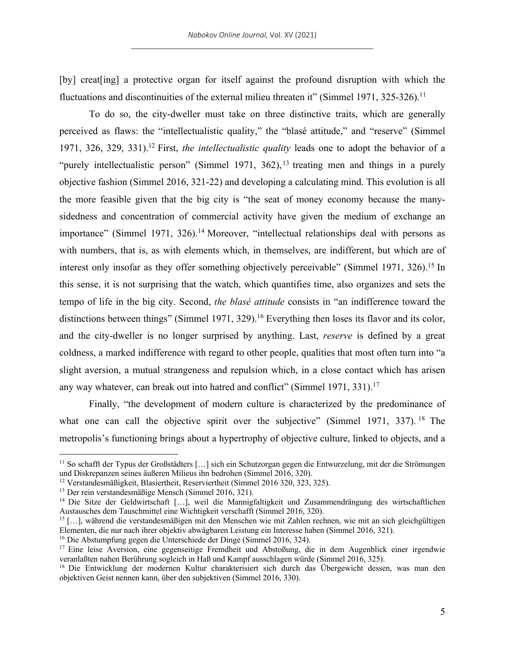[by] creat[ing] a protective organ for itself against the profound disruption with which the fluctuations and discontinuities of the external milieu threaten it" (Simmel 1971, 325-326).<sup>11</sup>

To do so, the city-dweller must take on three distinctive traits, which are generally perceived as flaws: the "intellectualistic quality," the "blasé attitude," and "reserve" (Simmel 1971, 326, 329, 331). <sup>12</sup> First, *the intellectualistic quality* leads one to adopt the behavior of a "purely intellectualistic person" (Simmel 1971, 362),<sup>13</sup> treating men and things in a purely objective fashion (Simmel 2016, 321-22) and developing a calculating mind. This evolution is all the more feasible given that the big city is "the seat of money economy because the manysidedness and concentration of commercial activity have given the medium of exchange an importance" (Simmel 1971, 326).<sup>14</sup> Moreover, "intellectual relationships deal with persons as with numbers, that is, as with elements which, in themselves, are indifferent, but which are of interest only insofar as they offer something objectively perceivable" (Simmel 1971, 326).<sup>15</sup> In this sense, it is not surprising that the watch, which quantifies time, also organizes and sets the tempo of life in the big city. Second, *the blasé attitude* consists in "an indifference toward the distinctions between things" (Simmel 1971, 329).<sup>16</sup> Everything then loses its flavor and its color, and the city-dweller is no longer surprised by anything. Last, *reserve* is defined by a great coldness, a marked indifference with regard to other people, qualities that most often turn into "a slight aversion, a mutual strangeness and repulsion which, in a close contact which has arisen any way whatever, can break out into hatred and conflict" (Simmel 1971, 331).<sup>17</sup>

Finally, "the development of modern culture is characterized by the predominance of what one can call the objective spirit over the subjective" (Simmel 1971, 337). <sup>18</sup> The metropolis's functioning brings about a hypertrophy of objective culture, linked to objects, and a

<sup>11</sup> So schafft der Typus der Großstädters […] sich ein Schutzorgan gegen die Entwurzelung, mit der die Strömungen und Diskrepanzen seines äußeren Milieus ihn bedrohen (Simmel 2016, 320).

<sup>12</sup> Verstandesmäßigkeit, Blasiertheit, Reserviertheit (Simmel 2016 320, 323, 325).

<sup>13</sup> Der rein verstandesmäßige Mensch (Simmel 2016, 321).

<sup>&</sup>lt;sup>14</sup> Die Sitze der Geldwirtschaft [...], weil die Mannigfaltigkeit und Zusammendrängung des wirtschaftlichen Austausches dem Tauschmittel eine Wichtigkeit verschafft (Simmel 2016, 320).

<sup>15</sup> […], während die verstandesmäßigen mit den Menschen wie mit Zahlen rechnen, wie mit an sich gleichgültigen Elementen, die nur nach ihrer objektiv abwägbaren Leistung ein Interesse haben (Simmel 2016, 321).

<sup>16</sup> Die Abstumpfung gegen die Unterschiede der Dinge (Simmel 2016, 324).

<sup>17</sup> Eine leise Aversion, eine gegenseitige Fremdheit und Abstoßung, die in dem Augenblick einer irgendwie veranlaßten nahen Berührung sogleich in Haß und Kampf ausschlagen würde (Simmel 2016, 325).

<sup>&</sup>lt;sup>18</sup> Die Entwicklung der modernen Kultur charakterisiert sich durch das Übergewicht dessen, was man den objektiven Geist nennen kann, über den subjektiven (Simmel 2016, 330).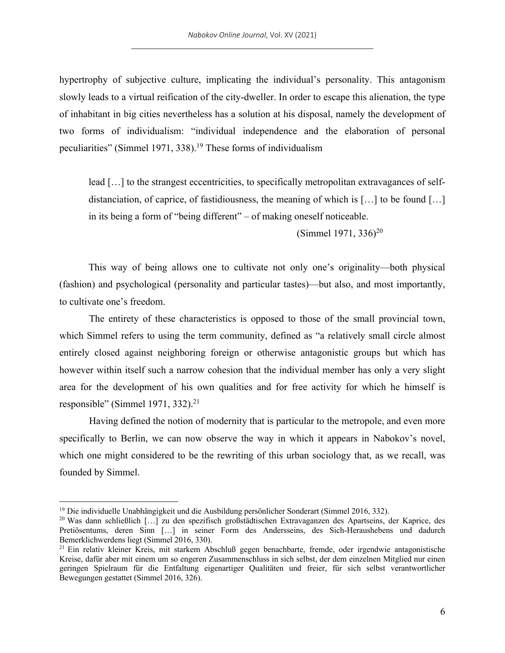hypertrophy of subjective culture, implicating the individual's personality. This antagonism slowly leads to a virtual reification of the city-dweller. In order to escape this alienation, the type of inhabitant in big cities nevertheless has a solution at his disposal, namely the development of two forms of individualism: "individual independence and the elaboration of personal peculiarities" (Simmel 1971, 338).<sup>19</sup> These forms of individualism

lead […] to the strangest eccentricities, to specifically metropolitan extravagances of selfdistanciation, of caprice, of fastidiousness, the meaning of which is […] to be found […] in its being a form of "being different" – of making oneself noticeable.

(Simmel 1971, 336)20

This way of being allows one to cultivate not only one's originality—both physical (fashion) and psychological (personality and particular tastes)—but also, and most importantly, to cultivate one's freedom.

The entirety of these characteristics is opposed to those of the small provincial town, which Simmel refers to using the term community, defined as "a relatively small circle almost entirely closed against neighboring foreign or otherwise antagonistic groups but which has however within itself such a narrow cohesion that the individual member has only a very slight area for the development of his own qualities and for free activity for which he himself is responsible" (Simmel 1971, 332).<sup>21</sup>

Having defined the notion of modernity that is particular to the metropole, and even more specifically to Berlin, we can now observe the way in which it appears in Nabokov's novel, which one might considered to be the rewriting of this urban sociology that, as we recall, was founded by Simmel.

<sup>19</sup> Die individuelle Unabhängigkeit und die Ausbildung persönlicher Sonderart (Simmel 2016, 332).

<sup>20</sup> Was dann schließlich […] zu den spezifisch großstädtischen Extravaganzen des Apartseins, der Kaprice, des Pretiösentums, deren Sinn […] in seiner Form des Andersseins, des Sich-Heraushebens und dadurch Bemerklichwerdens liegt (Simmel 2016, 330).

<sup>21</sup> Ein relativ kleiner Kreis, mit starkem Abschluß gegen benachbarte, fremde, oder irgendwie antagonistische Kreise, dafür aber mit einem um so engeren Zusammenschluss in sich selbst, der dem einzelnen Mitglied nur einen geringen Spielraum für die Entfaltung eigenartiger Qualitäten und freier, für sich selbst verantwortlicher Bewegungen gestattet (Simmel 2016, 326).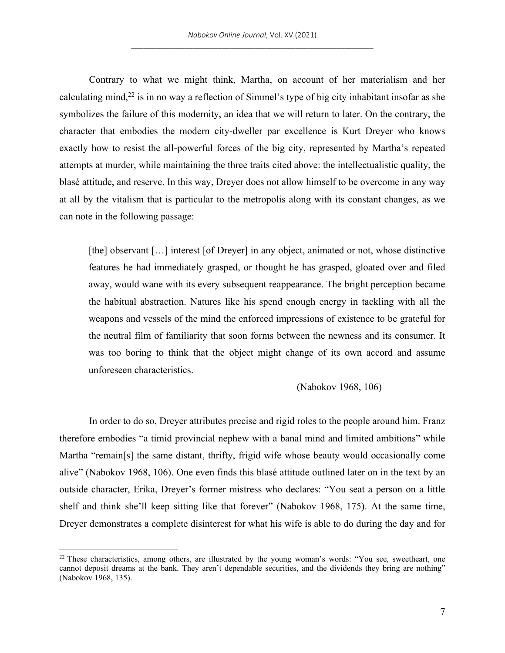Contrary to what we might think, Martha, on account of her materialism and her calculating mind,<sup>22</sup> is in no way a reflection of Simmel's type of big city inhabitant insofar as she symbolizes the failure of this modernity, an idea that we will return to later. On the contrary, the character that embodies the modern city-dweller par excellence is Kurt Dreyer who knows exactly how to resist the all-powerful forces of the big city, represented by Martha's repeated attempts at murder, while maintaining the three traits cited above: the intellectualistic quality, the blasé attitude, and reserve. In this way, Dreyer does not allow himself to be overcome in any way at all by the vitalism that is particular to the metropolis along with its constant changes, as we can note in the following passage:

[the] observant [...] interest [of Dreyer] in any object, animated or not, whose distinctive features he had immediately grasped, or thought he has grasped, gloated over and filed away, would wane with its every subsequent reappearance. The bright perception became the habitual abstraction. Natures like his spend enough energy in tackling with all the weapons and vessels of the mind the enforced impressions of existence to be grateful for the neutral film of familiarity that soon forms between the newness and its consumer. It was too boring to think that the object might change of its own accord and assume unforeseen characteristics.

(Nabokov 1968, 106)

In order to do so, Dreyer attributes precise and rigid roles to the people around him. Franz therefore embodies "a timid provincial nephew with a banal mind and limited ambitions" while Martha "remain[s] the same distant, thrifty, frigid wife whose beauty would occasionally come alive" (Nabokov 1968, 106). One even finds this blasé attitude outlined later on in the text by an outside character, Erika, Dreyer's former mistress who declares: "You seat a person on a little shelf and think she'll keep sitting like that forever" (Nabokov 1968, 175). At the same time, Dreyer demonstrates a complete disinterest for what his wife is able to do during the day and for

<sup>&</sup>lt;sup>22</sup> These characteristics, among others, are illustrated by the young woman's words: "You see, sweetheart, one cannot deposit dreams at the bank. They aren't dependable securities, and the dividends they bring are nothing" (Nabokov 1968, 135).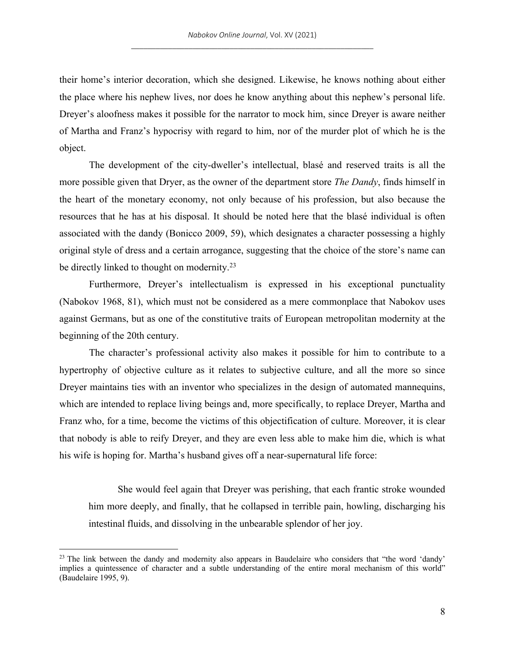their home's interior decoration, which she designed. Likewise, he knows nothing about either the place where his nephew lives, nor does he know anything about this nephew's personal life. Dreyer's aloofness makes it possible for the narrator to mock him, since Dreyer is aware neither of Martha and Franz's hypocrisy with regard to him, nor of the murder plot of which he is the object.

The development of the city-dweller's intellectual, blasé and reserved traits is all the more possible given that Dryer, as the owner of the department store *The Dandy*, finds himself in the heart of the monetary economy, not only because of his profession, but also because the resources that he has at his disposal. It should be noted here that the blasé individual is often associated with the dandy (Bonicco 2009, 59), which designates a character possessing a highly original style of dress and a certain arrogance, suggesting that the choice of the store's name can be directly linked to thought on modernity.<sup>23</sup>

Furthermore, Dreyer's intellectualism is expressed in his exceptional punctuality (Nabokov 1968, 81), which must not be considered as a mere commonplace that Nabokov uses against Germans, but as one of the constitutive traits of European metropolitan modernity at the beginning of the 20th century.

The character's professional activity also makes it possible for him to contribute to a hypertrophy of objective culture as it relates to subjective culture, and all the more so since Dreyer maintains ties with an inventor who specializes in the design of automated mannequins, which are intended to replace living beings and, more specifically, to replace Dreyer, Martha and Franz who, for a time, become the victims of this objectification of culture. Moreover, it is clear that nobody is able to reify Dreyer, and they are even less able to make him die, which is what his wife is hoping for. Martha's husband gives off a near-supernatural life force:

She would feel again that Dreyer was perishing, that each frantic stroke wounded him more deeply, and finally, that he collapsed in terrible pain, howling, discharging his intestinal fluids, and dissolving in the unbearable splendor of her joy.

<sup>&</sup>lt;sup>23</sup> The link between the dandy and modernity also appears in Baudelaire who considers that "the word 'dandy' implies a quintessence of character and a subtle understanding of the entire moral mechanism of this world" (Baudelaire 1995, 9).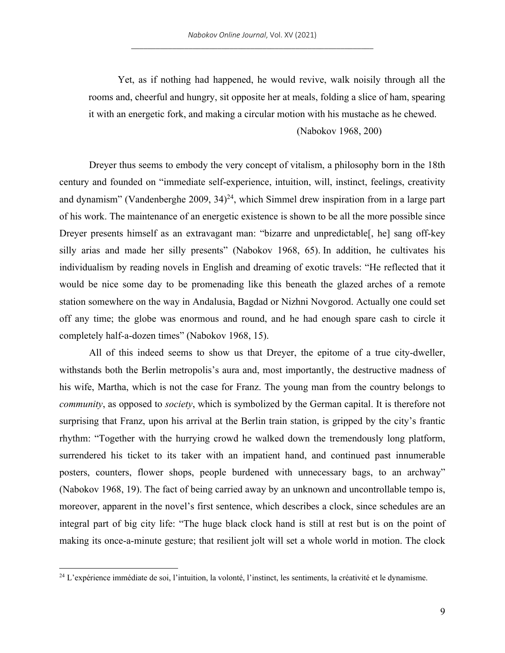Yet, as if nothing had happened, he would revive, walk noisily through all the rooms and, cheerful and hungry, sit opposite her at meals, folding a slice of ham, spearing it with an energetic fork, and making a circular motion with his mustache as he chewed.

# (Nabokov 1968, 200)

Dreyer thus seems to embody the very concept of vitalism, a philosophy born in the 18th century and founded on "immediate self-experience, intuition, will, instinct, feelings, creativity and dynamism" (Vandenberghe 2009,  $34$ )<sup>24</sup>, which Simmel drew inspiration from in a large part of his work. The maintenance of an energetic existence is shown to be all the more possible since Dreyer presents himself as an extravagant man: "bizarre and unpredictable[, he] sang off-key silly arias and made her silly presents" (Nabokov 1968, 65). In addition, he cultivates his individualism by reading novels in English and dreaming of exotic travels: "He reflected that it would be nice some day to be promenading like this beneath the glazed arches of a remote station somewhere on the way in Andalusia, Bagdad or Nizhni Novgorod. Actually one could set off any time; the globe was enormous and round, and he had enough spare cash to circle it completely half-a-dozen times" (Nabokov 1968, 15).

All of this indeed seems to show us that Dreyer, the epitome of a true city-dweller, withstands both the Berlin metropolis's aura and, most importantly, the destructive madness of his wife, Martha, which is not the case for Franz. The young man from the country belongs to *community*, as opposed to *society*, which is symbolized by the German capital. It is therefore not surprising that Franz, upon his arrival at the Berlin train station, is gripped by the city's frantic rhythm: "Together with the hurrying crowd he walked down the tremendously long platform, surrendered his ticket to its taker with an impatient hand, and continued past innumerable posters, counters, flower shops, people burdened with unnecessary bags, to an archway" (Nabokov 1968, 19). The fact of being carried away by an unknown and uncontrollable tempo is, moreover, apparent in the novel's first sentence, which describes a clock, since schedules are an integral part of big city life: "The huge black clock hand is still at rest but is on the point of making its once-a-minute gesture; that resilient jolt will set a whole world in motion. The clock

 $24$  L'expérience immédiate de soi, l'intuition, la volonté, l'instinct, les sentiments, la créativité et le dynamisme.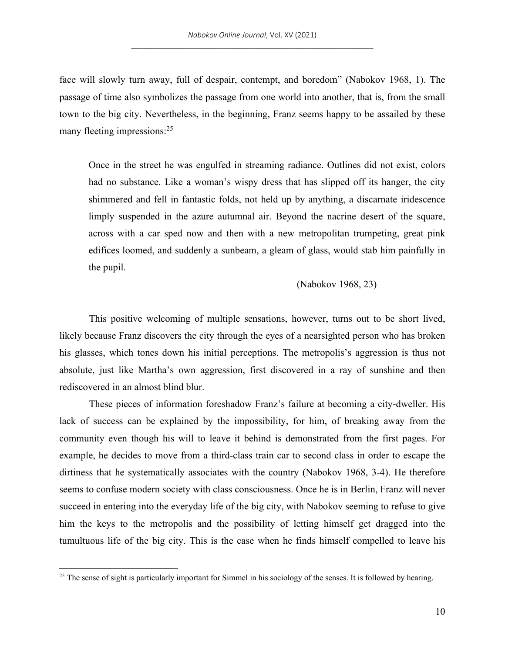face will slowly turn away, full of despair, contempt, and boredom" (Nabokov 1968, 1). The passage of time also symbolizes the passage from one world into another, that is, from the small town to the big city. Nevertheless, in the beginning, Franz seems happy to be assailed by these many fleeting impressions:<sup>25</sup>

Once in the street he was engulfed in streaming radiance. Outlines did not exist, colors had no substance. Like a woman's wispy dress that has slipped off its hanger, the city shimmered and fell in fantastic folds, not held up by anything, a discarnate iridescence limply suspended in the azure autumnal air. Beyond the nacrine desert of the square, across with a car sped now and then with a new metropolitan trumpeting, great pink edifices loomed, and suddenly a sunbeam, a gleam of glass, would stab him painfully in the pupil.

## (Nabokov 1968, 23)

This positive welcoming of multiple sensations, however, turns out to be short lived, likely because Franz discovers the city through the eyes of a nearsighted person who has broken his glasses, which tones down his initial perceptions. The metropolis's aggression is thus not absolute, just like Martha's own aggression, first discovered in a ray of sunshine and then rediscovered in an almost blind blur.

These pieces of information foreshadow Franz's failure at becoming a city-dweller. His lack of success can be explained by the impossibility, for him, of breaking away from the community even though his will to leave it behind is demonstrated from the first pages. For example, he decides to move from a third-class train car to second class in order to escape the dirtiness that he systematically associates with the country (Nabokov 1968, 3-4). He therefore seems to confuse modern society with class consciousness. Once he is in Berlin, Franz will never succeed in entering into the everyday life of the big city, with Nabokov seeming to refuse to give him the keys to the metropolis and the possibility of letting himself get dragged into the tumultuous life of the big city. This is the case when he finds himself compelled to leave his

<sup>&</sup>lt;sup>25</sup> The sense of sight is particularly important for Simmel in his sociology of the senses. It is followed by hearing.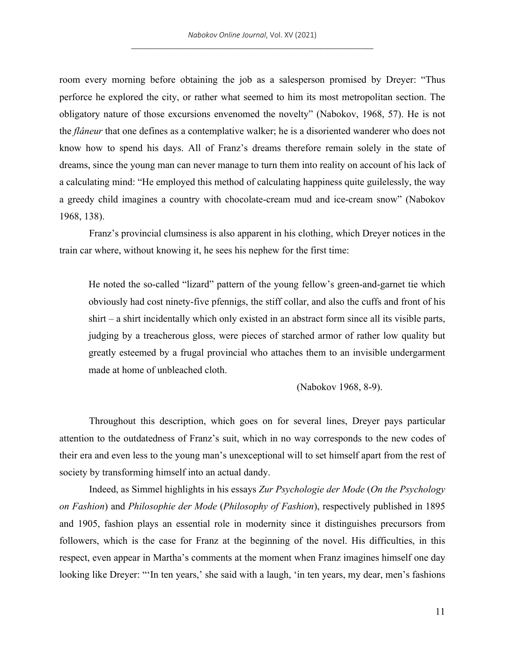room every morning before obtaining the job as a salesperson promised by Dreyer: "Thus perforce he explored the city, or rather what seemed to him its most metropolitan section. The obligatory nature of those excursions envenomed the novelty" (Nabokov, 1968, 57). He is not the *flâneur* that one defines as a contemplative walker; he is a disoriented wanderer who does not know how to spend his days. All of Franz's dreams therefore remain solely in the state of dreams, since the young man can never manage to turn them into reality on account of his lack of a calculating mind: "He employed this method of calculating happiness quite guilelessly, the way a greedy child imagines a country with chocolate-cream mud and ice-cream snow" (Nabokov 1968, 138).

Franz's provincial clumsiness is also apparent in his clothing, which Dreyer notices in the train car where, without knowing it, he sees his nephew for the first time:

He noted the so-called "lizard" pattern of the young fellow's green-and-garnet tie which obviously had cost ninety-five pfennigs, the stiff collar, and also the cuffs and front of his shirt – a shirt incidentally which only existed in an abstract form since all its visible parts, judging by a treacherous gloss, were pieces of starched armor of rather low quality but greatly esteemed by a frugal provincial who attaches them to an invisible undergarment made at home of unbleached cloth.

(Nabokov 1968, 8-9).

Throughout this description, which goes on for several lines, Dreyer pays particular attention to the outdatedness of Franz's suit, which in no way corresponds to the new codes of their era and even less to the young man's unexceptional will to set himself apart from the rest of society by transforming himself into an actual dandy.

Indeed, as Simmel highlights in his essays *Zur Psychologie der Mode* (*On the Psychology on Fashion*) and *Philosophie der Mode* (*Philosophy of Fashion*), respectively published in 1895 and 1905, fashion plays an essential role in modernity since it distinguishes precursors from followers, which is the case for Franz at the beginning of the novel. His difficulties, in this respect, even appear in Martha's comments at the moment when Franz imagines himself one day looking like Dreyer: "'In ten years,' she said with a laugh, 'in ten years, my dear, men's fashions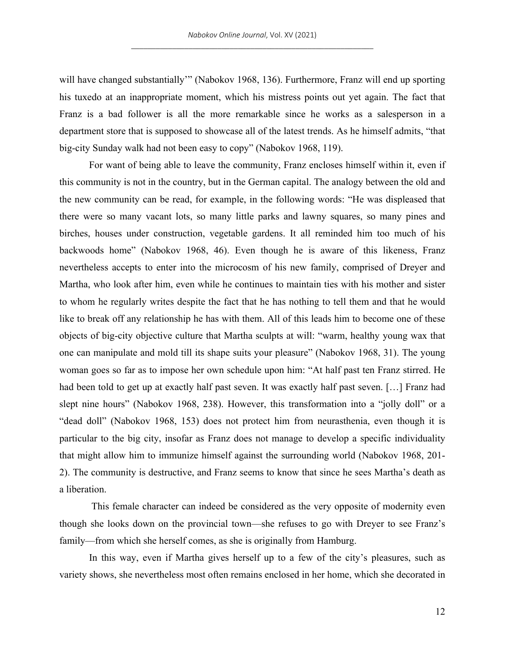will have changed substantially" (Nabokov 1968, 136). Furthermore, Franz will end up sporting his tuxedo at an inappropriate moment, which his mistress points out yet again. The fact that Franz is a bad follower is all the more remarkable since he works as a salesperson in a department store that is supposed to showcase all of the latest trends. As he himself admits, "that big-city Sunday walk had not been easy to copy" (Nabokov 1968, 119).

For want of being able to leave the community, Franz encloses himself within it, even if this community is not in the country, but in the German capital. The analogy between the old and the new community can be read, for example, in the following words: "He was displeased that there were so many vacant lots, so many little parks and lawny squares, so many pines and birches, houses under construction, vegetable gardens. It all reminded him too much of his backwoods home" (Nabokov 1968, 46). Even though he is aware of this likeness, Franz nevertheless accepts to enter into the microcosm of his new family, comprised of Dreyer and Martha, who look after him, even while he continues to maintain ties with his mother and sister to whom he regularly writes despite the fact that he has nothing to tell them and that he would like to break off any relationship he has with them. All of this leads him to become one of these objects of big-city objective culture that Martha sculpts at will: "warm, healthy young wax that one can manipulate and mold till its shape suits your pleasure" (Nabokov 1968, 31). The young woman goes so far as to impose her own schedule upon him: "At half past ten Franz stirred. He had been told to get up at exactly half past seven. It was exactly half past seven. [...] Franz had slept nine hours" (Nabokov 1968, 238). However, this transformation into a "jolly doll" or a "dead doll" (Nabokov 1968, 153) does not protect him from neurasthenia, even though it is particular to the big city, insofar as Franz does not manage to develop a specific individuality that might allow him to immunize himself against the surrounding world (Nabokov 1968, 201- 2). The community is destructive, and Franz seems to know that since he sees Martha's death as a liberation.

This female character can indeed be considered as the very opposite of modernity even though she looks down on the provincial town—she refuses to go with Dreyer to see Franz's family—from which she herself comes, as she is originally from Hamburg.

In this way, even if Martha gives herself up to a few of the city's pleasures, such as variety shows, she nevertheless most often remains enclosed in her home, which she decorated in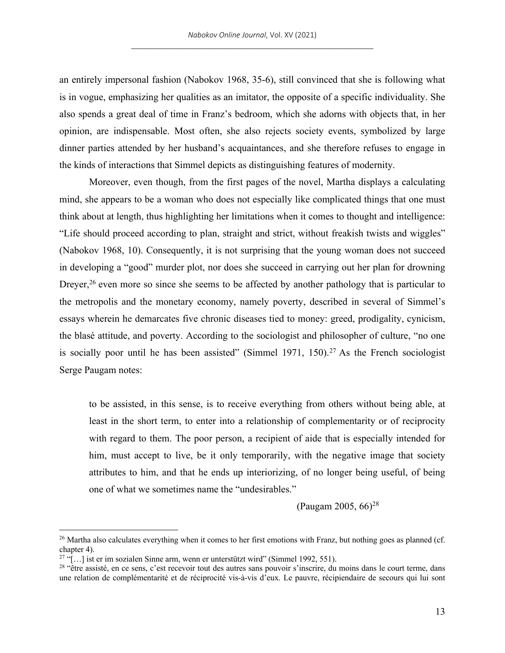an entirely impersonal fashion (Nabokov 1968, 35-6), still convinced that she is following what is in vogue, emphasizing her qualities as an imitator, the opposite of a specific individuality. She also spends a great deal of time in Franz's bedroom, which she adorns with objects that, in her opinion, are indispensable. Most often, she also rejects society events, symbolized by large dinner parties attended by her husband's acquaintances, and she therefore refuses to engage in the kinds of interactions that Simmel depicts as distinguishing features of modernity.

Moreover, even though, from the first pages of the novel, Martha displays a calculating mind, she appears to be a woman who does not especially like complicated things that one must think about at length, thus highlighting her limitations when it comes to thought and intelligence: "Life should proceed according to plan, straight and strict, without freakish twists and wiggles" (Nabokov 1968, 10). Consequently, it is not surprising that the young woman does not succeed in developing a "good" murder plot, nor does she succeed in carrying out her plan for drowning Dreyer,<sup>26</sup> even more so since she seems to be affected by another pathology that is particular to the metropolis and the monetary economy, namely poverty, described in several of Simmel's essays wherein he demarcates five chronic diseases tied to money: greed, prodigality, cynicism, the blasé attitude, and poverty. According to the sociologist and philosopher of culture, "no one is socially poor until he has been assisted" (Simmel 1971, 150).<sup>27</sup> As the French sociologist Serge Paugam notes:

to be assisted, in this sense, is to receive everything from others without being able, at least in the short term, to enter into a relationship of complementarity or of reciprocity with regard to them. The poor person, a recipient of aide that is especially intended for him, must accept to live, be it only temporarily, with the negative image that society attributes to him, and that he ends up interiorizing, of no longer being useful, of being one of what we sometimes name the "undesirables."

(Paugam 2005,  $66^{28}$ )

 $26$  Martha also calculates everything when it comes to her first emotions with Franz, but nothing goes as planned (cf. chapter 4).

<sup>&</sup>lt;sup>27</sup> "[...] ist er im sozialen Sinne arm, wenn er unterstützt wird" (Simmel 1992, 551).

<sup>&</sup>lt;sup>28</sup> "être assisté, en ce sens, c'est recevoir tout des autres sans pouvoir s'inscrire, du moins dans le court terme, dans une relation de complémentarité et de réciprocité vis-à-vis d'eux. Le pauvre, récipiendaire de secours qui lui sont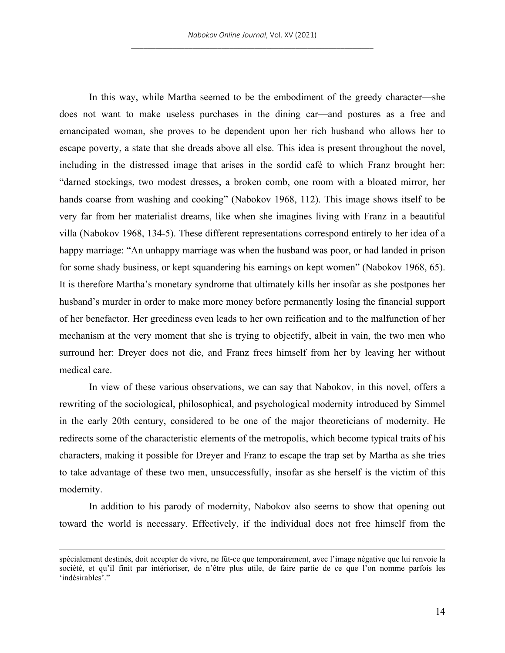In this way, while Martha seemed to be the embodiment of the greedy character—she does not want to make useless purchases in the dining car—and postures as a free and emancipated woman, she proves to be dependent upon her rich husband who allows her to escape poverty, a state that she dreads above all else. This idea is present throughout the novel, including in the distressed image that arises in the sordid café to which Franz brought her: "darned stockings, two modest dresses, a broken comb, one room with a bloated mirror, her hands coarse from washing and cooking" (Nabokov 1968, 112). This image shows itself to be very far from her materialist dreams, like when she imagines living with Franz in a beautiful villa (Nabokov 1968, 134-5). These different representations correspond entirely to her idea of a happy marriage: "An unhappy marriage was when the husband was poor, or had landed in prison for some shady business, or kept squandering his earnings on kept women" (Nabokov 1968, 65). It is therefore Martha's monetary syndrome that ultimately kills her insofar as she postpones her husband's murder in order to make more money before permanently losing the financial support of her benefactor. Her greediness even leads to her own reification and to the malfunction of her mechanism at the very moment that she is trying to objectify, albeit in vain, the two men who surround her: Dreyer does not die, and Franz frees himself from her by leaving her without medical care.

In view of these various observations, we can say that Nabokov, in this novel, offers a rewriting of the sociological, philosophical, and psychological modernity introduced by Simmel in the early 20th century, considered to be one of the major theoreticians of modernity. He redirects some of the characteristic elements of the metropolis, which become typical traits of his characters, making it possible for Dreyer and Franz to escape the trap set by Martha as she tries to take advantage of these two men, unsuccessfully, insofar as she herself is the victim of this modernity.

In addition to his parody of modernity, Nabokov also seems to show that opening out toward the world is necessary. Effectively, if the individual does not free himself from the

spécialement destinés, doit accepter de vivre, ne fût-ce que temporairement, avec l'image négative que lui renvoie la société, et qu'il finit par intérioriser, de n'être plus utile, de faire partie de ce que l'on nomme parfois les 'indésirables'."